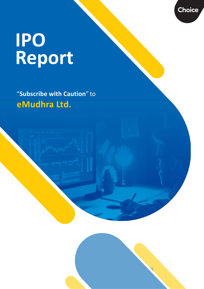# **IPO Report**

"**Subscribe with Caution**" to **eMudhra Ltd.**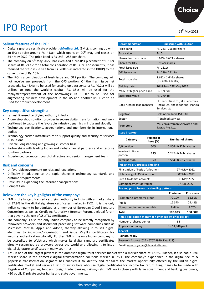# IPO Report 19th May 2022

#### **Salient features of the IPO:**

- Digital signature certificate provider, **eMudhra Ltd.** (EML), is coming up with an IPO to raise around Rs. 413cr, which opens on 20<sup>th</sup> May and closes on 24th May 2022. The price band is Rs. 243 - 256 per share.
- The company on 5<sup>th</sup> May 2022, has executed a pre-IPO placement of 0.16cr shares at Rs. 243.2 for a total consideration of Rs. 39cr. Consequently, it has reduced the fresh issue size from Rs. 200cr (as indicated in the DRHP) to the current size of Rs. 161cr.
- The IPO is a combination of fresh issue and OFS portion. The company will not receive any proceeds from the OFS portion. Of the fresh issue net proceeds, Rs. 46.4cr to be used for setting-up data centers; Rs. 40.2cr will be utilized to fund the working capital; Rs. 35cr will be used for the repayment/prepayment of the borrowings; Rs. 15.3cr to be used for augmenting business development in the US and another Rs. 15cr to be used for product development.

#### **Key competitive strengths:**

- Largest licensed certifying authority in India
- A one stop shop solution provider in secure digital transformation and wellpositioned to capture the favorable industry dynamics in India and globally
- Technology certifications, accreditations and membership in international bodies
- Technology backed infrastructure to support quality and security of services & solutions
- Diverse, longstanding and growing customer base
- Partnerships with leading Indian and global channel partners and enterprise solution partners
- Experienced promoter, board of directors and senior management team

#### **Risk and concerns:**

- Unfavorable government policies and regulations
- Difficulty in adapting to the rapid changing technology standards and customer requirements
- Difficulty in expanding the international operations
- **Competition**

#### **Below are the key highlights of the company:**

- EML is the largest licensed certifying authority in India with a market share of 37.9% in the digital signature certificates market in FY21. It is the only Indian company to be admitted as a member of European Cloud Signature Consortium as well as Certifying Authority / Browser Forum, a global forum that governs the use of SSL/TLS certificates.
- The company is also the only Indian company to be directly recognized by renowned browsers and document processing software companies such as Microsoft, Mozilla, Apple and Adobe, thereby allowing it to sell digital identities to individual/organization and issue SSL/TLS certificates for website authentication, globally. Further EML is the only Indian company to be accredited to Webtrust which makes its digital signature certificates directly recognized by browsers across the world and allowing it to issue digital signature certificates in many countries.

| EML is one of the largest players in the domestic digital trust services market with a market share of 17.8%. Further, it also had a 19% |
|------------------------------------------------------------------------------------------------------------------------------------------|
| market share in the domestic digital transformation solutions market in FY21. The company's experience in the digital secure &           |
| paperless transformation segment has enabled it to identify and capitalize the market opportunity offered by the Indian digital          |
| certificates market and serve all kind of subscribers who use digital certificates for income tax return filing, filings to be made with |
| Registrar of Companies, tenders, foreign trade, banking, railways etc. EML works closely with large government and banking customers,    |
| +20 public & private sector banks and state governments.                                                                                 |

| <b>Recommendation</b>                                    |                         |                                               | <b>Subscribe with Caution</b>                                                                 |                         |  |  |  |  |
|----------------------------------------------------------|-------------------------|-----------------------------------------------|-----------------------------------------------------------------------------------------------|-------------------------|--|--|--|--|
| Price band                                               |                         |                                               |                                                                                               | Rs. 243 - 256 per share |  |  |  |  |
| Face value                                               |                         | <b>Rs. 5</b>                                  |                                                                                               |                         |  |  |  |  |
| Shares for fresh issue                                   |                         |                                               | $0.629 - 0.663$ cr shares                                                                     |                         |  |  |  |  |
| Shares for OFS                                           |                         |                                               | 0.984cr shares                                                                                |                         |  |  |  |  |
| Fresh issue size                                         |                         | Rs. 161cr                                     |                                                                                               |                         |  |  |  |  |
| OFS issue size                                           |                         |                                               | Rs. 239 - 251.8cr                                                                             |                         |  |  |  |  |
| Total issue size                                         |                         | 1.612 - 1.646cr shares<br>(Rs. 400 - 412.8cr) |                                                                                               |                         |  |  |  |  |
| <b>Bidding date</b>                                      |                         |                                               | 20 <sup>th</sup> May - 24 <sup>th</sup> May 2022                                              |                         |  |  |  |  |
| MCAP at higher price band                                |                         | Rs. 1,999cr                                   |                                                                                               |                         |  |  |  |  |
| Enterprise value                                         |                         | Rs. 2,044cr                                   |                                                                                               |                         |  |  |  |  |
| Book running lead manager                                |                         |                                               | IIFL Securities Ltd., YES Securities<br>(India) Ltd. and Indorient Financial<br>Services Ltd. |                         |  |  |  |  |
| Registrar                                                |                         |                                               | Link Intime India Pyt. Ltd.                                                                   |                         |  |  |  |  |
| Sector                                                   |                         |                                               | <b>IT Enabled Services</b>                                                                    |                         |  |  |  |  |
| Promoters                                                |                         |                                               | Mr. Venkatraman Srinivasan and<br>Taarav Pte. Ltd.                                            |                         |  |  |  |  |
| <b>Issue breakup</b>                                     |                         |                                               |                                                                                               |                         |  |  |  |  |
| Category                                                 | Percent of<br>issue (%) |                                               | <b>Number of shares</b>                                                                       |                         |  |  |  |  |
| QIB portion                                              | 50%                     |                                               | 0.806 - 0.823cr shares                                                                        |                         |  |  |  |  |
| Non institutional<br>portion                             | 15%                     | 0.242 - 0.247cr shares                        |                                                                                               |                         |  |  |  |  |
| <b>Retail portion</b>                                    | 35%                     |                                               | 0.564 - 0.576cr shares                                                                        |                         |  |  |  |  |
| <b>Indicative IPO process time line</b>                  |                         |                                               |                                                                                               |                         |  |  |  |  |
| Finalization of basis of allotment                       |                         |                                               |                                                                                               | 27th May 2022           |  |  |  |  |
| Unblocking of ASBA account                               |                         | 30th May 2022                                 |                                                                                               |                         |  |  |  |  |
| Credit to demat accounts                                 |                         |                                               | 31st May 2022                                                                                 |                         |  |  |  |  |
| Commencement of trading                                  |                         |                                               |                                                                                               | 1st Jun. 2022           |  |  |  |  |
| Pre and post - issue shareholding pattern                |                         |                                               |                                                                                               |                         |  |  |  |  |
|                                                          |                         |                                               | Pre-issue                                                                                     | Post-issue              |  |  |  |  |
| Promoter & promoter group                                |                         |                                               | 79.19%                                                                                        | 62.81%                  |  |  |  |  |
| Public                                                   |                         |                                               | 12.37%                                                                                        | 29.43%                  |  |  |  |  |
| Non-promoter and non-public                              |                         |                                               | 8.44%                                                                                         | 7.76%                   |  |  |  |  |
| Total                                                    |                         |                                               | 100.00%                                                                                       | 100.00%                 |  |  |  |  |
| Retail application money at higher cut-off price per lot |                         |                                               |                                                                                               |                         |  |  |  |  |
| Number of shares per lot                                 |                         |                                               | 58                                                                                            |                         |  |  |  |  |
| Application money                                        |                         | Rs. 14,848 per lot                            |                                                                                               |                         |  |  |  |  |
| <b>Analyst</b>                                           |                         |                                               |                                                                                               |                         |  |  |  |  |
|                                                          |                         |                                               |                                                                                               |                         |  |  |  |  |
| Rajnath Yadav                                            |                         |                                               |                                                                                               |                         |  |  |  |  |

Email: [rajnath.yadav@choiceindia.com](mailto:rajnath.yadav@choiceindia.com)

Choice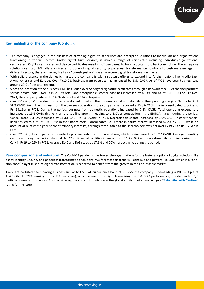#### **Key highlights of the company (Contd…):**

- The company is engaged in the business of providing digital trust services and enterprise solutions to individuals and organizations functioning in various sectors. Under digital trust services, it issues a range of certificates including individual/organizational certificates, SSL/TLS certificates and device certificates (used in IoT use cases) to build a digital trust backbone. Under the enterprise solutions vertical, EML offers a diverse portfolio of digital security & paperless transformation solutions to customers engaged in different sectors, thereby making itself as a "one-stop-shop" player in secure digital transformation market.
- With solid presence in the domestic market, the company is taking strategic efforts to expand into foreign regions like Middle-East, APAC, Americas and Europe. Over FY19-21, business from oversees has increased by 58% CAGR. As of FY21, overseas business was around 20% of the total revenue.
- Since the inception of the business, EML has issued over 5cr digital signature certificates through a network of 91,259 channel partners spread across India. Over FY19-21, its retail and enterprise customer base has increased by 40.3% and 44.2% CAGR. As of 31st Dec. 2021, the company catered to 14.3lakh retail and 626 enterprise customers.
- Over FY19-21, EML has demonstrated a sustained growth in the business and almost stability in the operating margins. On the back of 58% CAGR rise in the business from the overseas operations, the company has reported a 13.8% CAGR rise in consolidated top-line to Rs. 131.6cr in FY21. During the period, business from domestic operations increased by 7.8% CAGR. Total operating expenditure increased by 15% CAGR (higher than the top-line growth), leading to a 137bps contraction in the EBITDA margin during the period. Consolidated EBITDA increased by 11.3% CAGR to Rs. 39.9cr in FY21. Depreciation charge increased by 1.6% CAGR, higher financial liabilities led to a 78.5% CAGR rise in the finance costs. Consolidated PAT before minority interest increased by 20.6% CAGR, while on account of relatively higher share of minority interests, earnings attributable to the shareholders was flat over FY19-21 to Rs. 17.5cr in FY21.
- Over FY19-21, the company has reported a positive cash flow from operations, which has increased by 56.2% CAGR. Average operating cash flow during the period stood at Rs. 27cr. Financial liabilities increased by 35.1% CAGR with debt-to-equity ratio increasing from 0.4x in FY19 to 0.5x in FY21. Average RoIC and RoE stood at 17.6% and 20%, respectively, during the period.

**Peer comparison and valuation:** The Covid-19 pandemic has forced the organizations for the faster adoption of digital solutions like digital identity, security and paperless transformation solutions. We feel that this trend will continue and players like EML, which is a "onestop-shop" player in secure digital transformation is expected to benefit from the growth in the addressable market.

There are no listed peers having business similar to EML. At higher price band of Rs. 256, the company is demanding a P/E multiple of 114.5x (to its FY21 earnings of Rs. 2.2 per share), which seems to be high. Annualizing the 9M FY22 performance, the demanded P/E multiple comes out to be 49x. Also considering the current turbulence in the global equity market, we assign a "**Subscribe with Caution**" rating for the issue.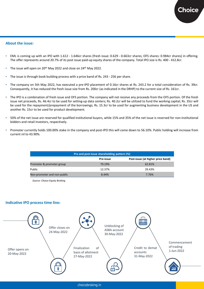#### **About the issue:**

- EML is coming up with an IPO with 1.612 1.646cr shares (fresh issue: 0.629 0.663cr shares; OFS shares: 0.984cr shares) in offering. The offer represents around 20.7% of its post issue paid-up equity shares of the company. Total IPO size is Rs. 400 - 412.8cr.
- The issue will open on 20<sup>th</sup> May 2022 and close on 24<sup>th</sup> May 2022.
- The issue is through book building process with a price band of Rs. 243 256 per share.
- The company on 5th May 2022, has executed a pre-IPO placement of 0.16cr shares at Rs. 243.2 for a total consideration of Rs. 39cr. Consequently, it has reduced the fresh issue size from Rs. 200cr (as indicated in the DRHP) to the current size of Rs. 161cr.
- The IPO is a combination of fresh issue and OFS portion. The company will not receive any proceeds from the OFS portion. Of the fresh issue net proceeds, Rs. 46.4cr to be used for setting-up data centers; Rs. 40.2cr will be utilized to fund the working capital; Rs. 35cr will be used for the repayment/prepayment of the borrowings; Rs. 15.3cr to be used for augmenting business development in the US and another Rs. 15cr to be used for product development.
- 50% of the net issue are reserved for qualified institutional buyers, while 15% and 35% of the net issue is reserved for non-institutional bidders and retail investors, respectively.
- Promoter currently holds 100.00% stake in the company and post-IPO this will come down to 56.10%. Public holding will increase from current nil to 43.90%.

| Pre and post-issue shareholding pattern (%)    |        |        |  |  |  |  |  |
|------------------------------------------------|--------|--------|--|--|--|--|--|
| Post-issue (at higher price band)<br>Pre-issue |        |        |  |  |  |  |  |
| Promoter & promoter group                      | 79.19% | 62.81% |  |  |  |  |  |
| Public                                         | 12.37% | 29.43% |  |  |  |  |  |
| Non-promoter and non-public                    | 8.44%  | 7.76%  |  |  |  |  |  |

*Source: Choice Equity Broking*

#### **Indicative IPO process time line:**

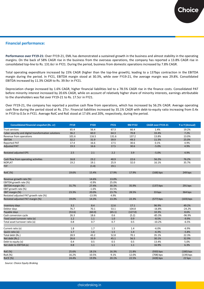#### **Financial performance:**

**Performance over FY19-21:** Over FY19-21, EML has demonstrated a sustained growth in the business and almost stability in the operating margins. On the back of 58% CAGR rise in the business from the overseas operations, the company has reported a 13.8% CAGR rise in consolidated top-line to Rs. 131.6cr in FY21. During the period, business from domestic operations increased by 7.8% CAGR.

Total operating expenditure increased by 15% CAGR (higher than the top-line growth), leading to a 137bps contraction in the EBITDA margin during the period. In FY21, EBITDA margin stood at 30.3%, while over FY19-21, the average margin was 29.8%. Consolidated EBITDA increased by 11.3% CAGR to Rs. 39.9cr in FY21.

Depreciation charge increased by 1.6% CAGR, higher financial liabilities led to a 78.5% CAGR rise in the finance costs. Consolidated PAT before minority interest increased by 20.6% CAGR, while on account of relatively higher share of minority interests, earnings attributable to the shareholders was flat over FY19-21 to Rs. 17.5cr in FY21.

Over FY19-21, the company has reported a positive cash flow from operations, which has increased by 56.2% CAGR. Average operating cash flow during the period stood at Rs. 27cr. Financial liabilities increased by 35.1% CAGR with debt-to-equity ratio increasing from 0.4x in FY19 to 0.5x in FY21. Average RoIC and RoE stood at 17.6% and 20%, respectively, during the period.

| <b>Consolidated financial snapshot (Rs. cr)</b>     | <b>FY19</b> | <b>FY20</b> | <b>FY21</b> | <b>9M FY22</b> | <b>CAGR over FY19-21</b> | Y-o-Y (Annual) |
|-----------------------------------------------------|-------------|-------------|-------------|----------------|--------------------------|----------------|
| <b>Trust services</b>                               | 65.4        | 56.4        | 67.3        | 66.4           | 1.4%                     | 19.2%          |
| Cyber security and digital transformation solutions | 36.2        | 60.0        | 64.3        | 70.8           | 33.4%                    | 7.2%           |
| Revenue from operations                             | 101.6       | 116.5       | 131.6       | 137.2          | 13.8%                    | 13.0%          |
| <b>EBITDA</b>                                       | 32.2        | 31.9        | 39.9        | 49.3           | 11.3%                    | 25.0%          |
| <b>Reported PAT</b>                                 | 17.4        | 16.6        | 17.5        | 30.6           | 0.1%                     | 4.9%           |
| <b>Adjusted PAT</b>                                 | 19.3        | 16.6        | 17.5        | 30.6           | $-5.0%$                  | 4.9%           |
| <b>Restated adjusted EPS</b>                        | 2.5         | 2.1         | 2.2         | 3.9            | $-5.0%$                  | 4.9%           |
| Cash flow from operating activities                 | 16.8        | 23.2        | 40.9        | 22.6           | 56.2%                    | 76.2%          |
| <b>NOPLAT</b>                                       | 19.2        | 19.1        | 25.9        | 32.0           | 16.1%                    | 35.7%          |
| <b>FCF</b>                                          |             | (1.4)       | 19.1        |                |                          |                |
| <b>RoIC (%)</b>                                     | 19.6%       | 15.4%       | 17.9%       | 17.9%          | $(168)$ bps              | 249 bps        |
| Revenue growth rate (%)                             |             | 14.6%       | 13.0%       |                |                          |                |
| EBITDA growth rate (%)                              |             | $-0.9%$     | 25.0%       |                |                          |                |
| EBITDA margin (%)                                   | 31.7%       | 27.4%       | 30.3%       | 35.9%          | $(137)$ bps              | $291$ bps      |
| EBIT growth rate (%)                                |             | $-1.6%$     | 33.5%       |                |                          |                |
| EBIT margin (%)                                     | 23.3%       | 20.0%       | 23.7%       | 28.5%          | 33 bps                   | 364 bps        |
| Restated adjusted PAT growth rate (%)               |             | $-13.9%$    | 4.9%        |                |                          |                |
| Restated adjusted PAT margin (%)                    | 19.0%       | 14.3%       | 13.3%       | 22.3%          | $(577)$ bps              | $(103)$ bps    |
| Inventory days                                      | 3.2         | 8.4         | 12.6        | 17.1           | 96.9%                    | 49.2%          |
| Debtor days                                         | 76.7        | 70.1        | 53.1        | 104.8          | $-16.8%$                 | $-24.2%$       |
| Payable days                                        | (53.6)      | (60.0)      | (65.1)      | (127.0)        | 10.3%                    | 8.6%           |
| Cash conversion cycle                               | 26.3        | 18.6        | 0.6         | (5.2)          | $-85.3%$                 | $-96.9%$       |
| Fixed asset turnover ratio (x)                      | 1.2         | 1.1         | 1.0         | 0.9            | $-8.5%$                  | $-9.9%$        |
| Total asset turnover ratio (x)                      | 0.8         | 0.7         | 0.7         | 0.5            | $-10.2%$                 | $-6.5%$        |
| Current ratio (x)                                   | 1.8         | 1.7         | 1.5         | 1.4            | $-6.0%$                  | $-6.9%$        |
| Quick ratio (x)                                     | 1.7         | 1.6         | 1.5         | 1.4            | $-6.3%$                  | $-5.8%$        |
| Total debt (Rs.)                                    | 28.9        | 43.2        | 52.8        | 70.1           | 35.1%                    | 22.3%          |
| Net debt (Rs.)                                      | 26.6        | 33.9        | 45.1        | 56.5           | 30.1%                    | 32.9%          |
| Debt to equity (x)                                  | 0.4         | 0.5         | 0.5         | 0.5            | 13.4%                    | 5.0%           |
| Net debt to EBITDA (x)                              | 0.8         | 1.1         | $1.1$       | 1.1            | 16.9%                    | 6.3%           |
| <b>RoE</b> (%)                                      | 25.6%       | 18.1%       | 16.3%       | 21.8%          | $(930)$ bps              | $(180)$ bps    |
| RoA (%)                                             | 16.2%       | 10.5%       | 9.1%        | 12.0%          | (708) bps                | $(139)$ bps    |
| RoCE (%)                                            | 24.4%       | 19.9%       | 20.1%       | 22.5%          | $(428)$ bps              | 22 bps         |

*Source: Choice Equity Broking*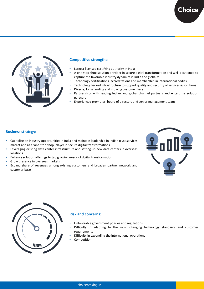

#### **Competitive strengths:**

- Largest licensed certifying authority in India
- A one stop shop solution provider in secure digital transformation and well-positioned to capture the favorable industry dynamics in India and globally
- Technology certifications, accreditations and membership in international bodies
- Technology backed infrastructure to support quality and security of services & solutions
- Diverse, longstanding and growing customer base
- Partnerships with leading Indian and global channel partners and enterprise solution partners
- Experienced promoter, board of directors and senior management team

#### **Business strategy:**

- Capitalize on industry opportunities in India and maintain leadership in Indian trust services market and as a 'one stop shop' player in secure digital transformations
- Leveraging existing data center infrastructure and setting up new data centers in overseas locations
- Enhance solution offerings to tap growing needs of digital transformation
- Grow presence in overseas markets
- Expand share of revenues among existing customers and broaden partner network and customer base





#### **Risk and concerns:**

- Unfavorable government policies and regulations
- Difficulty in adapting to the rapid changing technology standards and customer requirements
- Difficulty in expanding the international operations
- Competition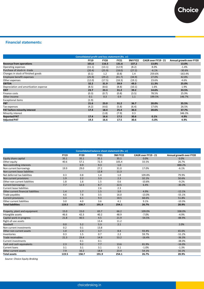#### **Financial statements:**

| <b>Consolidated profit and loss statement (Rs. cr)</b> |                                                                                                               |        |        |        |         |           |  |  |
|--------------------------------------------------------|---------------------------------------------------------------------------------------------------------------|--------|--------|--------|---------|-----------|--|--|
|                                                        | <b>9M FY22</b><br>Annual growth over FY20<br><b>FY19</b><br><b>FY20</b><br><b>FY21</b><br>CAGR over FY19 - 21 |        |        |        |         |           |  |  |
| <b>Revenue from operations</b>                         | 101.6                                                                                                         | 116.5  | 131.6  | 137.2  | 13.8%   | 13.0%     |  |  |
| Operating expenses                                     | (11.1)                                                                                                        | (13.1) | (12.9) | (8.2)  | 8.0%    | $-1.4%$   |  |  |
| Purchase of stock-in-trade                             | (20.4)                                                                                                        | (25.9) | (18.0) | (27.2) | $-6.1%$ | $-30.6%$  |  |  |
| Changes in stock of finished goods                     | (0.1)                                                                                                         | 1.2    | (0.8)  | 1.4    | 259.6%  | $-163.4%$ |  |  |
| <b>Employee benefit expenses</b>                       | (25.9)                                                                                                        | (29.2) | (41.7) | (34.9) | 27.0%   | 42.8%     |  |  |
| Other expenses                                         | (12.0)                                                                                                        | (17.5) | (18.3) | (19.1) | 23.6%   | 4.6%      |  |  |
| <b>EBITDA</b>                                          | 32.2                                                                                                          | 31.9   | 39.9   | 49.3   | 11.3%   | 25.0%     |  |  |
| Depreciation and amortization expense                  | (8.5)                                                                                                         | (8.6)  | (8.8)  | (10.1) | 1.6%    | 1.9%      |  |  |
| <b>EBIT</b>                                            | 23.7                                                                                                          | 23.3   | 31.2   | 39.2   | 14.6%   | 33.5%     |  |  |
| Finance costs                                          | (0.3)                                                                                                         | (0.7)  | (0.8)  | (3.5)  | 78.5%   | 25.9%     |  |  |
| Other income                                           | 0.1                                                                                                           | 0.3    | 0.9    | 1.1    | 199.5%  | 146.7%    |  |  |
| <b>Exceptional items</b>                               | (1.9)                                                                                                         |        |        |        |         |           |  |  |
| <b>PBT</b>                                             | 21.6                                                                                                          | 23.0   | 31.2   | 36.7   | 20.0%   | 35.5%     |  |  |
| Tax expenses                                           | (4.2)                                                                                                         | (4.6)  | (5.8)  | (6.4)  | 17.6%   | 26.5%     |  |  |
| PAT before minority interest                           | 17.4                                                                                                          | 18.4   | 25.4   | 30.3   | 20.6%   | 37.7%     |  |  |
| Minority interest                                      |                                                                                                               | (1.8)  | (7.9)  | 0.3    |         | 346.3%    |  |  |
| <b>Reported PAT</b>                                    | 17.4                                                                                                          | 16.6   | 17.5   | 30.6   | 0.1%    | 4.9%      |  |  |
| <b>Adjusted PAT</b>                                    | 19.3                                                                                                          | 16.6   | 17.5   | 30.6   | $-5.0%$ | 4.9%      |  |  |

| <b>Consolidated balance sheet statement (Rs. cr)</b>                                                          |       |       |       |       |          |          |  |  |  |
|---------------------------------------------------------------------------------------------------------------|-------|-------|-------|-------|----------|----------|--|--|--|
| Annual growth over FY20<br>CAGR over FY19 - 21<br><b>FY19</b><br><b>FY20</b><br><b>FY21</b><br><b>9M FY22</b> |       |       |       |       |          |          |  |  |  |
| Equity share capital                                                                                          | 35.1  | 35.1  | 35.1  | 35.1  | 0.0%     | 0.0%     |  |  |  |
| Other equity                                                                                                  | 40.6  | 57.1  | 72.3  | 105.4 | 33.5%    | 26.7%    |  |  |  |
| Non controlling interests                                                                                     |       | 0.9   | 9.3   | 1.0   |          | 888.2%   |  |  |  |
| Non current borrowings                                                                                        | 19.9  | 29.0  | 27.2  | 31.0  | 17.0%    | $-6.1%$  |  |  |  |
| Non current lease liabilities                                                                                 |       |       | 12.8  | 11.3  |          |          |  |  |  |
| Net deferred tax liabilities                                                                                  | 0.3   | 0.8   | 1.4   | 1.0   | 109.8%   | 79.9%    |  |  |  |
| Non current provisions                                                                                        | 1.9   | 2.2   | 3.3   | 2.3   | 32.1%    | 50.6%    |  |  |  |
| Other non current liabilities                                                                                 | 1.8   | 1.6   | 1.5   | 0.6   | $-10.8%$ | $-9.2%$  |  |  |  |
| <b>Current borrowings</b>                                                                                     | 7.7   | 12.5  | 8.7   | 22.5  | 6.4%     | $-30.3%$ |  |  |  |
| <b>Current lease liabilities</b>                                                                              |       |       | 2.6   | 2.3   |          |          |  |  |  |
| Other current financial liabilities                                                                           | 1.4   | 1.7   | 1.5   | 3.0   | 4.9%     | $-12.1%$ |  |  |  |
| Trade payables                                                                                                | 4.6   | 7.8   | 3.5   | 16.0  | $-13.0%$ | $-55.1%$ |  |  |  |
| <b>Current provisions</b>                                                                                     | 3.3   | 6.1   | 9.3   | 18.5  | 68.6%    | 51.8%    |  |  |  |
| Other current liabilities                                                                                     | 3.0   | 4.0   | 3.6   | 4.1   | 9.1%     | $-10.3%$ |  |  |  |
| <b>Total liabilities</b>                                                                                      | 119.5 | 158.7 | 191.9 | 254.1 | 26.7%    | 20.9%    |  |  |  |
| Property, plant and equipment                                                                                 | 15.0  | 15.0  | 65.7  | 66.2  | 109.0%   | 338.0%   |  |  |  |
| Intangible assets                                                                                             | 46.6  | 42.3  | 40.2  | 48.9  | $-7.0%$  | $-4.9%$  |  |  |  |
| Capital work-in-progress                                                                                      | 21.8  | 40.5  | 4.5   | 21.9  | $-54.5%$ | $-88.9%$ |  |  |  |
| Right-of-use assets                                                                                           |       |       | 13.4  | 11.2  |          |          |  |  |  |
| Goodwill                                                                                                      | 0.0   | 5.2   | 5.3   | 2.1   |          | 2.0%     |  |  |  |
| Non current investments                                                                                       | 0.2   | 0.1   | 13.8  |       |          |          |  |  |  |
| Other non current assets                                                                                      | 1.0   | 2.3   | 3.7   | 8.4   | 93.4%    | 65.6%    |  |  |  |
| Inventories                                                                                                   | 0.3   | 1.5   | 0.7   | 2.2   | 59.7%    | $-51.2%$ |  |  |  |
| <b>Trade receivables</b>                                                                                      | 21.3  | 23.4  | 14.9  | 53.2  | $-16.4%$ | $-36.3%$ |  |  |  |
| <b>Current investments</b>                                                                                    |       | 0.1   | 0.1   |       |          | $-38.0%$ |  |  |  |
| Cash and cash equivalents                                                                                     | 2.3   | 9.2   | 7.7   | 13.6  | 81.9%    | $-16.0%$ |  |  |  |
| Current loans                                                                                                 | 3.1   | 3.1   | 3.1   | 3.1   | $-1.0%$  | $-1.3%$  |  |  |  |
| Other current assets                                                                                          | 7.9   | 16.2  | 18.8  | 23.4  | 54.1%    | 16.1%    |  |  |  |
| <b>Total assets</b>                                                                                           | 119.5 | 158.7 | 191.9 | 254.1 | 26.7%    | 20.9%    |  |  |  |

*Source: Choice Equity Broking*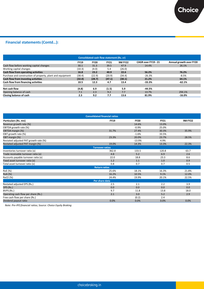## **Financial statements (Contd…):**

| Consolidated cash flow statement (Rs. cr)                                                                     |        |        |        |        |          |          |  |  |  |  |
|---------------------------------------------------------------------------------------------------------------|--------|--------|--------|--------|----------|----------|--|--|--|--|
| <b>9M FY22</b><br>CAGR over FY19 - 21<br><b>FY19</b><br><b>FY20</b><br><b>FY21</b><br>Annual growth over FY20 |        |        |        |        |          |          |  |  |  |  |
| Cash flow before working capital changes                                                                      | 30.1   | 31.3   | 39.5   | 47.9   | 14.4%    | 26.1%    |  |  |  |  |
| Working capital changes                                                                                       | (10.3) | (4.0)  | 5.4    | (26.0) |          |          |  |  |  |  |
| Cash flow from operating activities                                                                           | 16.8   | 23.2   | 40.9   | 22.6   | 56.2%    | 76.2%    |  |  |  |  |
| Purchase and construction of property, plant and equipment                                                    | (38.4) | (22.9) | (20.9) | (34.4) | $-26.3%$ | $-8.5%$  |  |  |  |  |
| Cash flow from investing activities                                                                           | (32.0) | (28.7) | (47.1) | (30.1) | 21.2%    | 64.1%    |  |  |  |  |
| Cash flow from financing activities                                                                           | 10.5   | 12.3   | 4.7    | 13.4   | $-33.3%$ | $-62.1%$ |  |  |  |  |
|                                                                                                               |        |        |        |        |          |          |  |  |  |  |
| Net cash flow                                                                                                 | (4.8)  | 6.9    | (1.5)  | 5.9    | $-44.5%$ |          |  |  |  |  |
| Opening balance of cash                                                                                       | 7.1    | 2.3    | 9.2    | 7.7    | 13.7%    | 294.1%   |  |  |  |  |
| Closing balance of cash                                                                                       | 2.3    | 9.2    | 7.7    | 13.6   | 81.9%    | $-16.0%$ |  |  |  |  |

|                                       | <b>Consolidated financial ratios</b> |             |             |                |
|---------------------------------------|--------------------------------------|-------------|-------------|----------------|
| Particulars (Rs. mn)                  | <b>FY19</b>                          | <b>FY20</b> | <b>FY21</b> | <b>9M FY22</b> |
| Revenue growth rate (%)               |                                      | 14.6%       | 13.0%       |                |
| EBITDA growth rate (%)                |                                      | $-0.9%$     | 25.0%       |                |
| EBITDA margin (%)                     | 31.7%                                | 27.4%       | 30.3%       | 35.9%          |
| EBIT growth rate (%)                  |                                      | $-1.6%$     | 33.5%       |                |
| EBIT margin (%)                       | 23.3%                                | 20.0%       | 23.7%       | 28.5%          |
| Restated adjusted PAT growth rate (%) |                                      | $-13.9%$    | 4.9%        |                |
| Restated adjusted PAT margin (%)      | 19.0%                                | 14.3%       | 13.3%       | 22.3%          |
|                                       | <b>Turnover ratios</b>               |             |             |                |
| Inventories turnover ratio (x)        | 362.8                                | 133.5       | 120.8       | 63.7           |
| Trade receivable turnover ratio (x)   | 4.8                                  | 5.2         | 6.9         | 2.6            |
| Accounts payable turnover ratio (x)   | 22.0                                 | 18.8        | 23.3        | 8.6            |
| Fixed asset turnover ratio (x)        | 1.2                                  | 1.1         | 1.0         | 0.9            |
| Total asset turnover ratio (x)        | 0.8                                  | 0.7         | 0.7         | 0.5            |
|                                       | <b>Return ratios</b>                 |             |             |                |
| RoE (%)                               | 25.6%                                | 18.1%       | 16.3%       | 21.8%          |
| RoA (%)                               | 16.2%                                | 10.5%       | 9.1%        | 12.0%          |
| <b>RoCE (%)</b>                       | 24.4%                                | 19.9%       | 20.1%       | 22.5%          |
|                                       | Per share data                       |             |             |                |
| Restated adjusted EPS (Rs.)           | 2.5                                  | 2.1         | 2.2         | 3.9            |
| DPS (Rs.)                             | 0.0                                  | 0.0         | 0.0         | 0.0            |
| BVPS (Rs.)                            | 9.7                                  | 11.8        | 13.8        | 18.0           |
| Operating cash flow per share (Rs.)   | 2.1                                  | 3.0         | 5.2         | 2.9            |
| Free cash flow per share (Rs.)        |                                      | (0.2)       | 2.4         |                |
| Dividend payout ratio                 | 0.0%                                 | 0.0%        | 0.0%        | 0.0%           |

*Note: Pre-IPO financial ratios; Source: Choice Equity Broking*